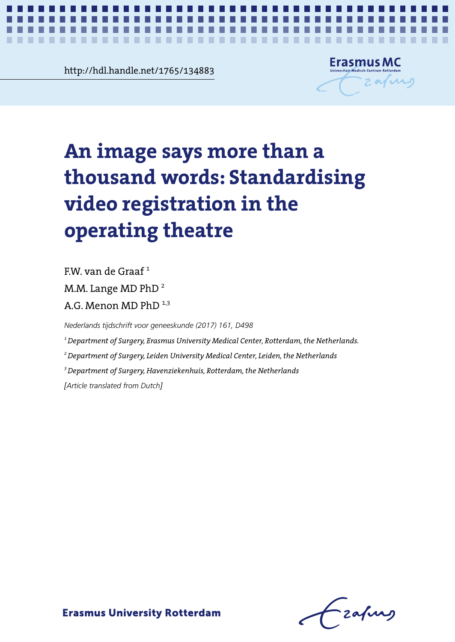**Chapter 2** http://hdl.handle.net/1765/134883



*Standardising video registration in the operating theatre* **1**

# An image says more than a thousand **thousand words: Standardising video registration in the**  $\blacksquare$ the operating theatre **operating theatre An image says more than a**

 $FW$  van de Graaf<sup>1</sup>

M.M. Lange MD PhD<sup>2</sup>

A.G. Menon MD PhD  $^{1,3}$ 

A.G. Menon MD PhD 1,3 *Nederlands tijdschrift voor geneeskunde (2017) 161, D498*

*1 Department of Surgery, Erasmus University Medical Center, Rotterdam, the Netherlands.*

*Nederlands tijdschrift voor geneeskunde (2017) 161, D498 2 Department of Surgery, Leiden University Medical Center, Leiden, the Netherlands*

*3 Department of Surgery, Havenziekenhuis, Rotterdam, the Netherlands*

1 Department of Surgery, Erasmus University Medical Center, Rotterdam, the Netherlands. *[Article translated from Dutch]*

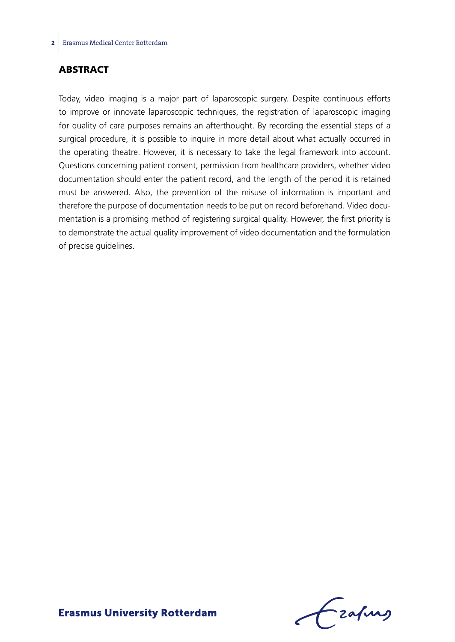### **ABSTRACT**

Today, video imaging is a major part of laparoscopic surgery. Despite continuous efforts to improve or innovate laparoscopic techniques, the registration of laparoscopic imaging for quality of care purposes remains an afterthought. By recording the essential steps of a surgical procedure, it is possible to inquire in more detail about what actually occurred in the operating theatre. However, it is necessary to take the legal framework into account. Questions concerning patient consent, permission from healthcare providers, whether video documentation should enter the patient record, and the length of the period it is retained must be answered. Also, the prevention of the misuse of information is important and therefore the purpose of documentation needs to be put on record beforehand. Video documentation is a promising method of registering surgical quality. However, the first priority is to demonstrate the actual quality improvement of video documentation and the formulation of precise guidelines.

Frafing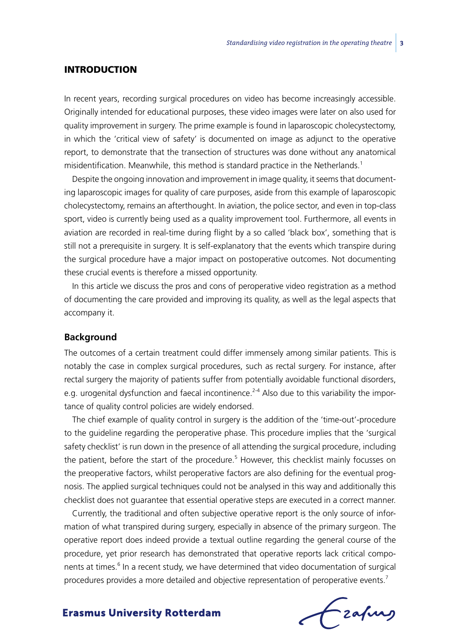#### **INTRODUCTION**

In recent years, recording surgical procedures on video has become increasingly accessible. Originally intended for educational purposes, these video images were later on also used for quality improvement in surgery. The prime example is found in laparoscopic cholecystectomy, in which the 'critical view of safety' is documented on image as adjunct to the operative report, to demonstrate that the transection of structures was done without any anatomical misidentification. Meanwhile, this method is standard practice in the Netherlands.<sup>1</sup>

Despite the ongoing innovation and improvement in image quality, it seems that documenting laparoscopic images for quality of care purposes, aside from this example of laparoscopic cholecystectomy, remains an afterthought. In aviation, the police sector, and even in top-class sport, video is currently being used as a quality improvement tool. Furthermore, all events in aviation are recorded in real-time during flight by a so called 'black box', something that is still not a prerequisite in surgery. It is self-explanatory that the events which transpire during the surgical procedure have a major impact on postoperative outcomes. Not documenting these crucial events is therefore a missed opportunity.

In this article we discuss the pros and cons of peroperative video registration as a method of documenting the care provided and improving its quality, as well as the legal aspects that accompany it.

#### **Background**

The outcomes of a certain treatment could differ immensely among similar patients. This is notably the case in complex surgical procedures, such as rectal surgery. For instance, after rectal surgery the majority of patients suffer from potentially avoidable functional disorders, e.g. urogenital dysfunction and faecal incontinence.<sup>2-4</sup> Also due to this variability the importance of quality control policies are widely endorsed.

The chief example of quality control in surgery is the addition of the 'time-out'-procedure to the guideline regarding the peroperative phase. This procedure implies that the 'surgical safety checklist' is run down in the presence of all attending the surgical procedure, including the patient, before the start of the procedure.<sup>5</sup> However, this checklist mainly focusses on the preoperative factors, whilst peroperative factors are also defining for the eventual prognosis. The applied surgical techniques could not be analysed in this way and additionally this checklist does not guarantee that essential operative steps are executed in a correct manner.

Currently, the traditional and often subjective operative report is the only source of information of what transpired during surgery, especially in absence of the primary surgeon. The operative report does indeed provide a textual outline regarding the general course of the procedure, yet prior research has demonstrated that operative reports lack critical components at times.<sup>6</sup> In a recent study, we have determined that video documentation of surgical procedures provides a more detailed and objective representation of peroperative events.<sup>7</sup>

frafing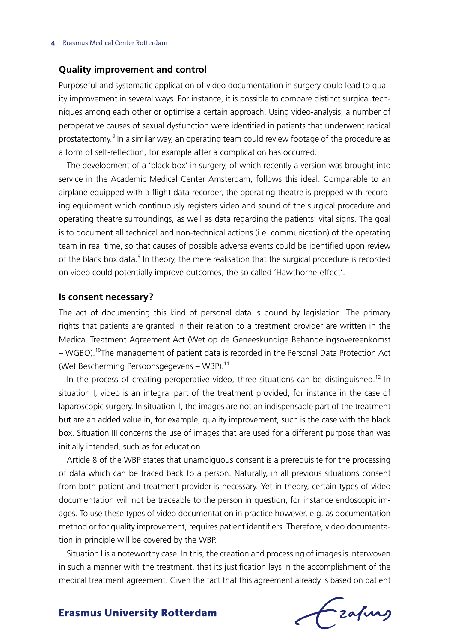#### **Quality improvement and control**

Purposeful and systematic application of video documentation in surgery could lead to quality improvement in several ways. For instance, it is possible to compare distinct surgical techniques among each other or optimise a certain approach. Using video-analysis, a number of peroperative causes of sexual dysfunction were identified in patients that underwent radical prostatectomy.<sup>8</sup> In a similar way, an operating team could review footage of the procedure as a form of self-reflection, for example after a complication has occurred.

The development of a 'black box' in surgery, of which recently a version was brought into service in the Academic Medical Center Amsterdam, follows this ideal. Comparable to an airplane equipped with a flight data recorder, the operating theatre is prepped with recording equipment which continuously registers video and sound of the surgical procedure and operating theatre surroundings, as well as data regarding the patients' vital signs. The goal is to document all technical and non-technical actions (i.e. communication) of the operating team in real time, so that causes of possible adverse events could be identified upon review of the black box data.<sup>9</sup> In theory, the mere realisation that the surgical procedure is recorded on video could potentially improve outcomes, the so called 'Hawthorne-effect'.

#### **Is consent necessary?**

The act of documenting this kind of personal data is bound by legislation. The primary rights that patients are granted in their relation to a treatment provider are written in the Medical Treatment Agreement Act (Wet op de Geneeskundige Behandelingsovereenkomst – WGBO).<sup>10</sup>The management of patient data is recorded in the Personal Data Protection Act (Wet Bescherming Persoonsgegevens – WBP). $^{11}$ 

In the process of creating peroperative video, three situations can be distinguished.<sup>12</sup> In situation I, video is an integral part of the treatment provided, for instance in the case of laparoscopic surgery. In situation II, the images are not an indispensable part of the treatment but are an added value in, for example, quality improvement, such is the case with the black box. Situation III concerns the use of images that are used for a different purpose than was initially intended, such as for education.

Article 8 of the WBP states that unambiguous consent is a prerequisite for the processing of data which can be traced back to a person. Naturally, in all previous situations consent from both patient and treatment provider is necessary. Yet in theory, certain types of video documentation will not be traceable to the person in question, for instance endoscopic images. To use these types of video documentation in practice however, e.g. as documentation method or for quality improvement, requires patient identifiers. Therefore, video documentation in principle will be covered by the WBP.

Situation I is a noteworthy case. In this, the creation and processing of images is interwoven in such a manner with the treatment, that its justification lays in the accomplishment of the medical treatment agreement. Given the fact that this agreement already is based on patient

Frahing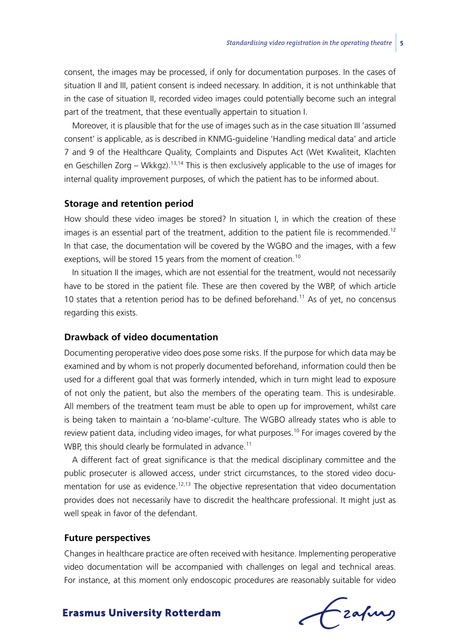consent, the images may be processed, if only for documentation purposes. In the cases of situation II and III, patient consent is indeed necessary. In addition, it is not unthinkable that in the case of situation II, recorded video images could potentially become such an integral part of the treatment, that these eventually appertain to situation I.

Moreover, it is plausible that for the use of images such as in the case situation III 'assumed consent' is applicable, as is described in KNMG-guideline 'Handling medical data' and article 7 and 9 of the Healthcare Quality, Complaints and Disputes Act (Wet Kwaliteit, Klachten en Geschillen Zorg – Wkkgz).<sup>13,14</sup> This is then exclusively applicable to the use of images for internal quality improvement purposes, of which the patient has to be informed about.

#### **Storage and retention period**

How should these video images be stored? In situation I, in which the creation of these images is an essential part of the treatment, addition to the patient file is recommended.<sup>12</sup> In that case, the documentation will be covered by the WGBO and the images, with a few exeptions, will be stored 15 years from the moment of creation.<sup>10</sup>

In situation II the images, which are not essential for the treatment, would not necessarily have to be stored in the patient file. These are then covered by the WBP, of which article 10 states that a retention period has to be defined beforehand.<sup>11</sup> As of yet, no concensus regarding this exists.

#### **Drawback of video documentation**

Documenting peroperative video does pose some risks. If the purpose for which data may be examined and by whom is not properly documented beforehand, information could then be used for a different goal that was formerly intended, which in turn might lead to exposure of not only the patient, but also the members of the operating team. This is undesirable. All members of the treatment team must be able to open up for improvement, whilst care is being taken to maintain a 'no-blame'-culture. The WGBO allready states who is able to review patient data, including video images, for what purposes.<sup>10</sup> For images covered by the WBP, this should clearly be formulated in advance.<sup>11</sup>

A different fact of great significance is that the medical disciplinary committee and the public prosecuter is allowed access, under strict circumstances, to the stored video documentation for use as evidence.<sup>12,13</sup> The objective representation that video documentation provides does not necessarily have to discredit the healthcare professional. It might just as well speak in favor of the defendant.

#### **Future perspectives**

Changes in healthcare practice are often received with hesitance. Implementing peroperative video documentation will be accompanied with challenges on legal and technical areas. For instance, at this moment only endoscopic procedures are reasonably suitable for video

Czafurz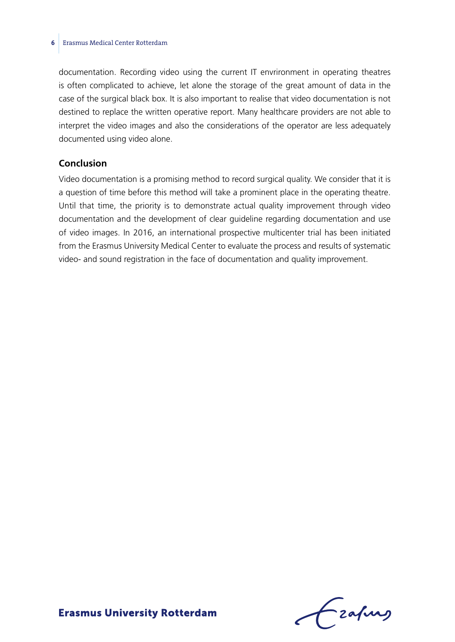#### **6** Erasmus Medical Center Rotterdam

documentation. Recording video using the current IT envrironment in operating theatres is often complicated to achieve, let alone the storage of the great amount of data in the case of the surgical black box. It is also important to realise that video documentation is not destined to replace the written operative report. Many healthcare providers are not able to interpret the video images and also the considerations of the operator are less adequately documented using video alone.

#### **Conclusion**

Video documentation is a promising method to record surgical quality. We consider that it is a question of time before this method will take a prominent place in the operating theatre. Until that time, the priority is to demonstrate actual quality improvement through video documentation and the development of clear guideline regarding documentation and use of video images. In 2016, an international prospective multicenter trial has been initiated from the Erasmus University Medical Center to evaluate the process and results of systematic video- and sound registration in the face of documentation and quality improvement.

Frahing